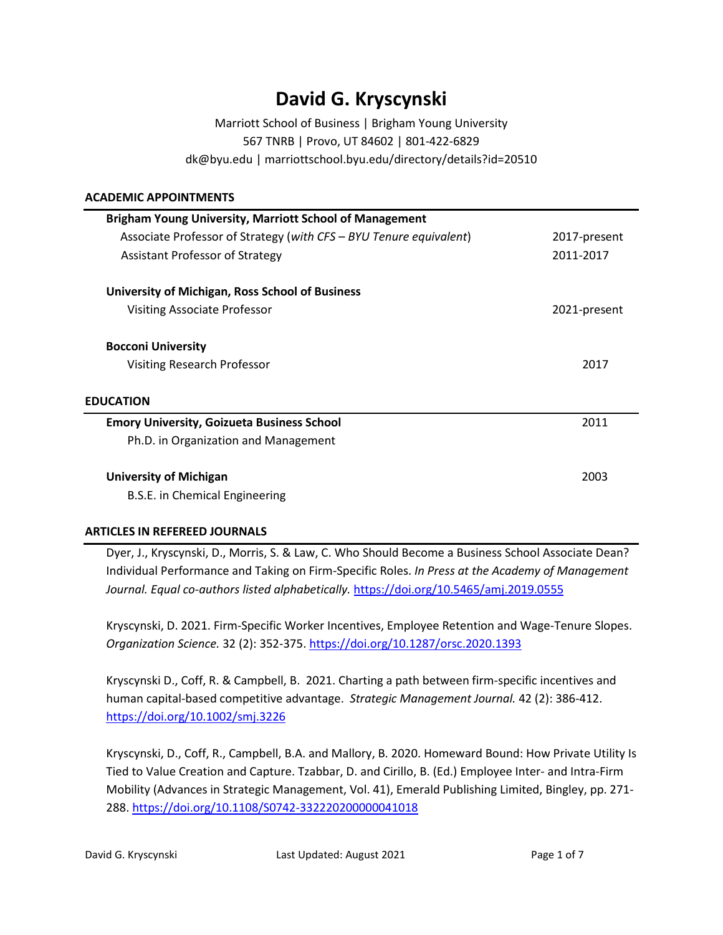# **David G. Kryscynski**

Marriott School of Business | Brigham Young University 567 TNRB | Provo, UT 84602 | 801-422-6829 dk@byu.edu | marriottschool.byu.edu/directory/details?id=20510

## **ACADEMIC APPOINTMENTS**

| <b>Brigham Young University, Marriott School of Management</b>     |              |
|--------------------------------------------------------------------|--------------|
| Associate Professor of Strategy (with CFS – BYU Tenure equivalent) | 2017-present |
| Assistant Professor of Strategy                                    | 2011-2017    |
| University of Michigan, Ross School of Business                    |              |
| Visiting Associate Professor                                       | 2021-present |
| <b>Bocconi University</b>                                          |              |
| <b>Visiting Research Professor</b>                                 | 2017         |
| <b>EDUCATION</b>                                                   |              |
| <b>Emory University, Goizueta Business School</b>                  | 2011         |
| Ph.D. in Organization and Management                               |              |
| <b>University of Michigan</b>                                      | 2003         |
| B.S.E. in Chemical Engineering                                     |              |

# **ARTICLES IN REFEREED JOURNALS**

Dyer, J., Kryscynski, D., Morris, S. & Law, C. Who Should Become a Business School Associate Dean? Individual Performance and Taking on Firm-Specific Roles. *In Press at the Academy of Management Journal. Equal co-authors listed alphabetically.* <https://doi.org/10.5465/amj.2019.0555>

Kryscynski, D. 2021. Firm-Specific Worker Incentives, Employee Retention and Wage-Tenure Slopes. *Organization Science.* 32 (2): 352-375. <https://doi.org/10.1287/orsc.2020.1393>

Kryscynski D., Coff, R. & Campbell, B. 2021. Charting a path between firm-specific incentives and human capital-based competitive advantage. *Strategic Management Journal.* 42 (2): 386-412. <https://doi.org/10.1002/smj.3226>

Kryscynski, D., Coff, R., Campbell, B.A. and Mallory, B. 2020. Homeward Bound: How Private Utility Is Tied to Value Creation and Capture. Tzabbar, D. and Cirillo, B. (Ed.) Employee Inter- and Intra-Firm Mobility (Advances in Strategic Management, Vol. 41), Emerald Publishing Limited, Bingley, pp. 271- 288.<https://doi.org/10.1108/S0742-332220200000041018>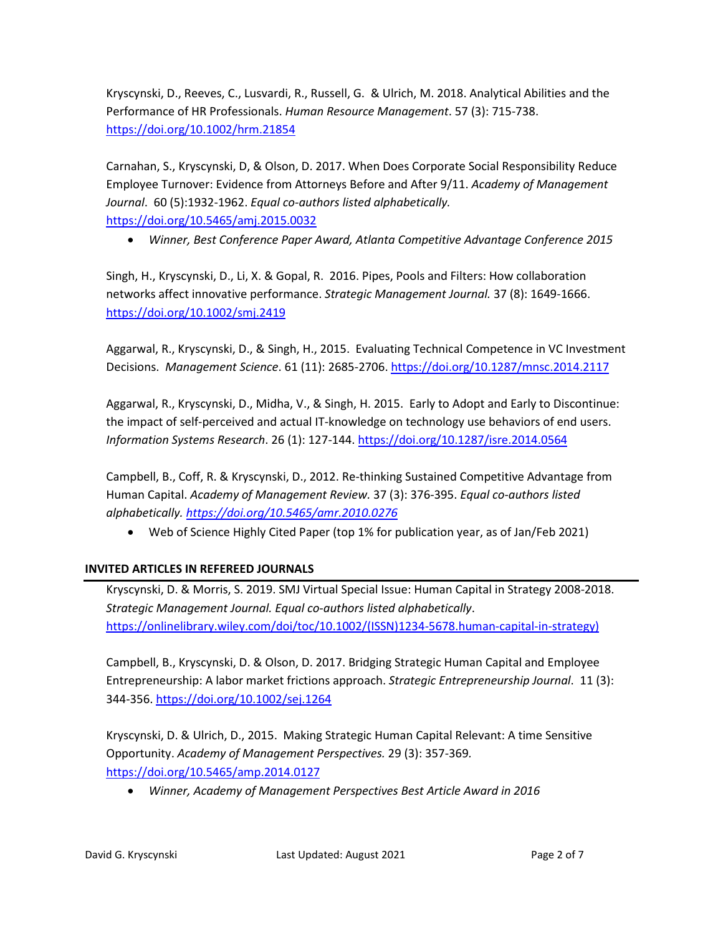Kryscynski, D., Reeves, C., Lusvardi, R., Russell, G. & Ulrich, M. 2018. Analytical Abilities and the Performance of HR Professionals. *Human Resource Management*. 57 (3): 715-738. <https://doi.org/10.1002/hrm.21854>

Carnahan, S., Kryscynski, D, & Olson, D. 2017. When Does Corporate Social Responsibility Reduce Employee Turnover: Evidence from Attorneys Before and After 9/11. *Academy of Management Journal*. 60 (5):1932-1962. *Equal co-authors listed alphabetically.* <https://doi.org/10.5465/amj.2015.0032>

• *Winner, Best Conference Paper Award, Atlanta Competitive Advantage Conference 2015*

Singh, H., Kryscynski, D., Li, X. & Gopal, R. 2016. Pipes, Pools and Filters: How collaboration networks affect innovative performance. *Strategic Management Journal.* 37 (8): 1649-1666. <https://doi.org/10.1002/smj.2419>

Aggarwal, R., Kryscynski, D., & Singh, H., 2015. Evaluating Technical Competence in VC Investment Decisions. *Management Science*. 61 (11): 2685-2706. <https://doi.org/10.1287/mnsc.2014.2117>

Aggarwal, R., Kryscynski, D., Midha, V., & Singh, H. 2015. Early to Adopt and Early to Discontinue: the impact of self-perceived and actual IT-knowledge on technology use behaviors of end users. *Information Systems Research*. 26 (1): 127-144. <https://doi.org/10.1287/isre.2014.0564>

Campbell, B., Coff, R. & Kryscynski, D., 2012. Re-thinking Sustained Competitive Advantage from Human Capital. *Academy of Management Review.* 37 (3): 376-395. *Equal co-authors listed alphabetically. <https://doi.org/10.5465/amr.2010.0276>*

• Web of Science Highly Cited Paper (top 1% for publication year, as of Jan/Feb 2021)

# **INVITED ARTICLES IN REFEREED JOURNALS**

Kryscynski, D. & Morris, S. 2019. SMJ Virtual Special Issue: Human Capital in Strategy 2008-2018. *Strategic Management Journal. Equal co-authors listed alphabetically*. [https://onlinelibrary.wiley.com/doi/toc/10.1002/\(ISSN\)1234-5678.human-capital-in-strategy\)](https://onlinelibrary.wiley.com/doi/toc/10.1002/(ISSN)1234-5678.human-capital-in-strategy))

Campbell, B., Kryscynski, D. & Olson, D. 2017. Bridging Strategic Human Capital and Employee Entrepreneurship: A labor market frictions approach. *Strategic Entrepreneurship Journal*. 11 (3): 344-356. <https://doi.org/10.1002/sej.1264>

Kryscynski, D. & Ulrich, D., 2015. Making Strategic Human Capital Relevant: A time Sensitive Opportunity. *Academy of Management Perspectives.* 29 (3): 357-369*.* <https://doi.org/10.5465/amp.2014.0127>

• *Winner, Academy of Management Perspectives Best Article Award in 2016*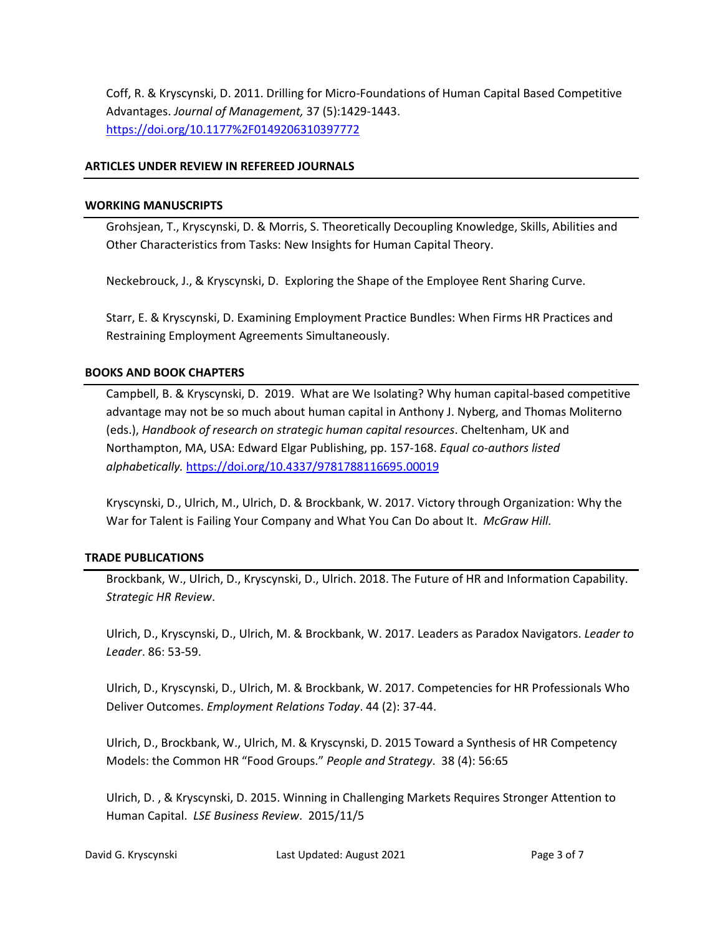Coff, R. & Kryscynski, D. 2011. Drilling for Micro-Foundations of Human Capital Based Competitive Advantages. *Journal of Management,* 37 (5):1429-1443. <https://doi.org/10.1177%2F0149206310397772>

### **ARTICLES UNDER REVIEW IN REFEREED JOURNALS**

#### **WORKING MANUSCRIPTS**

Grohsjean, T., Kryscynski, D. & Morris, S. Theoretically Decoupling Knowledge, Skills, Abilities and Other Characteristics from Tasks: New Insights for Human Capital Theory.

Neckebrouck, J., & Kryscynski, D. Exploring the Shape of the Employee Rent Sharing Curve.

Starr, E. & Kryscynski, D. Examining Employment Practice Bundles: When Firms HR Practices and Restraining Employment Agreements Simultaneously.

### **BOOKS AND BOOK CHAPTERS**

Campbell, B. & Kryscynski, D. 2019. What are We Isolating? Why human capital-based competitive advantage may not be so much about human capital in Anthony J. Nyberg, and Thomas Moliterno (eds.), *Handbook of research on strategic human capital resources*. Cheltenham, UK and Northampton, MA, USA: Edward Elgar Publishing, pp. 157-168. *Equal co-authors listed alphabetically.* <https://doi.org/10.4337/9781788116695.00019>

Kryscynski, D., Ulrich, M., Ulrich, D. & Brockbank, W. 2017. Victory through Organization: Why the War for Talent is Failing Your Company and What You Can Do about It. *McGraw Hill.*

#### **TRADE PUBLICATIONS**

Brockbank, W., Ulrich, D., Kryscynski, D., Ulrich. 2018. The Future of HR and Information Capability. *Strategic HR Review*.

Ulrich, D., Kryscynski, D., Ulrich, M. & Brockbank, W. 2017. Leaders as Paradox Navigators. *Leader to Leader*. 86: 53-59.

Ulrich, D., Kryscynski, D., Ulrich, M. & Brockbank, W. 2017. Competencies for HR Professionals Who Deliver Outcomes. *Employment Relations Today*. 44 (2): 37-44.

Ulrich, D., Brockbank, W., Ulrich, M. & Kryscynski, D. 2015 Toward a Synthesis of HR Competency Models: the Common HR "Food Groups." *People and Strategy*. 38 (4): 56:65

Ulrich, D. , & Kryscynski, D. 2015. Winning in Challenging Markets Requires Stronger Attention to Human Capital. *LSE Business Review*. 2015/11/5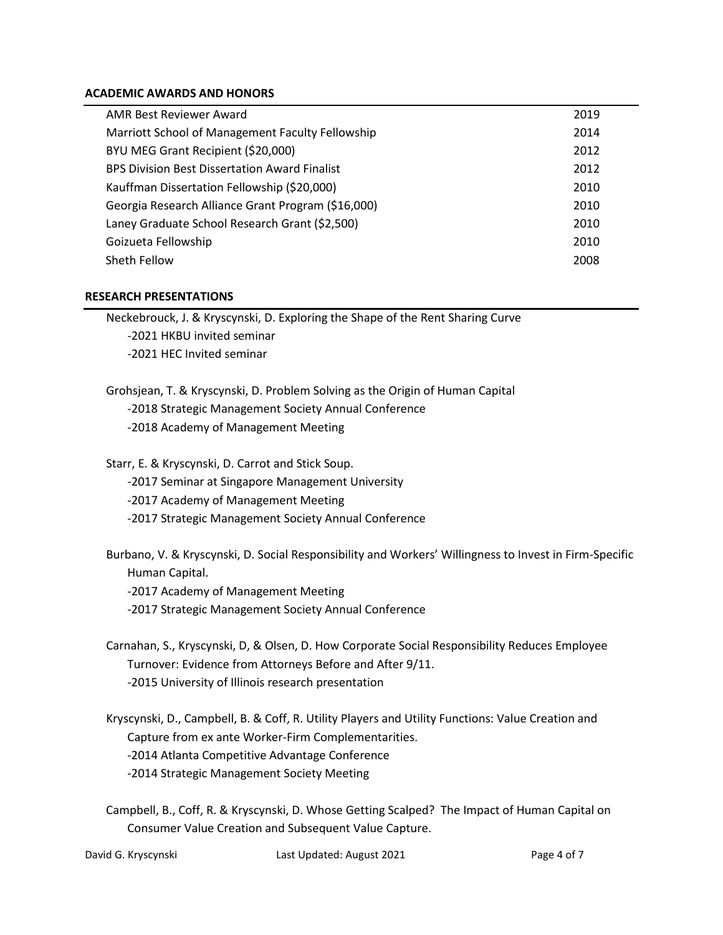#### **ACADEMIC AWARDS AND HONORS**

| AMR Best Reviewer Award                              | 2019 |
|------------------------------------------------------|------|
| Marriott School of Management Faculty Fellowship     | 2014 |
| BYU MEG Grant Recipient (\$20,000)                   | 2012 |
| <b>BPS Division Best Dissertation Award Finalist</b> | 2012 |
| Kauffman Dissertation Fellowship (\$20,000)          | 2010 |
| Georgia Research Alliance Grant Program (\$16,000)   | 2010 |
| Laney Graduate School Research Grant (\$2,500)       | 2010 |
| Goizueta Fellowship                                  | 2010 |
| Sheth Fellow                                         | 2008 |

#### **RESEARCH PRESENTATIONS**

Neckebrouck, J. & Kryscynski, D. Exploring the Shape of the Rent Sharing Curve -2021 HKBU invited seminar -2021 HEC Invited seminar

Grohsjean, T. & Kryscynski, D. Problem Solving as the Origin of Human Capital -2018 Strategic Management Society Annual Conference -2018 Academy of Management Meeting

Starr, E. & Kryscynski, D. Carrot and Stick Soup. -2017 Seminar at Singapore Management University -2017 Academy of Management Meeting -2017 Strategic Management Society Annual Conference

- Burbano, V. & Kryscynski, D. Social Responsibility and Workers' Willingness to Invest in Firm-Specific Human Capital.
	- -2017 Academy of Management Meeting
	- -2017 Strategic Management Society Annual Conference
- Carnahan, S., Kryscynski, D, & Olsen, D. How Corporate Social Responsibility Reduces Employee Turnover: Evidence from Attorneys Before and After 9/11. -2015 University of Illinois research presentation
- Kryscynski, D., Campbell, B. & Coff, R. Utility Players and Utility Functions: Value Creation and Capture from ex ante Worker-Firm Complementarities. -2014 Atlanta Competitive Advantage Conference -2014 Strategic Management Society Meeting
- Campbell, B., Coff, R. & Kryscynski, D. Whose Getting Scalped? The Impact of Human Capital on Consumer Value Creation and Subsequent Value Capture.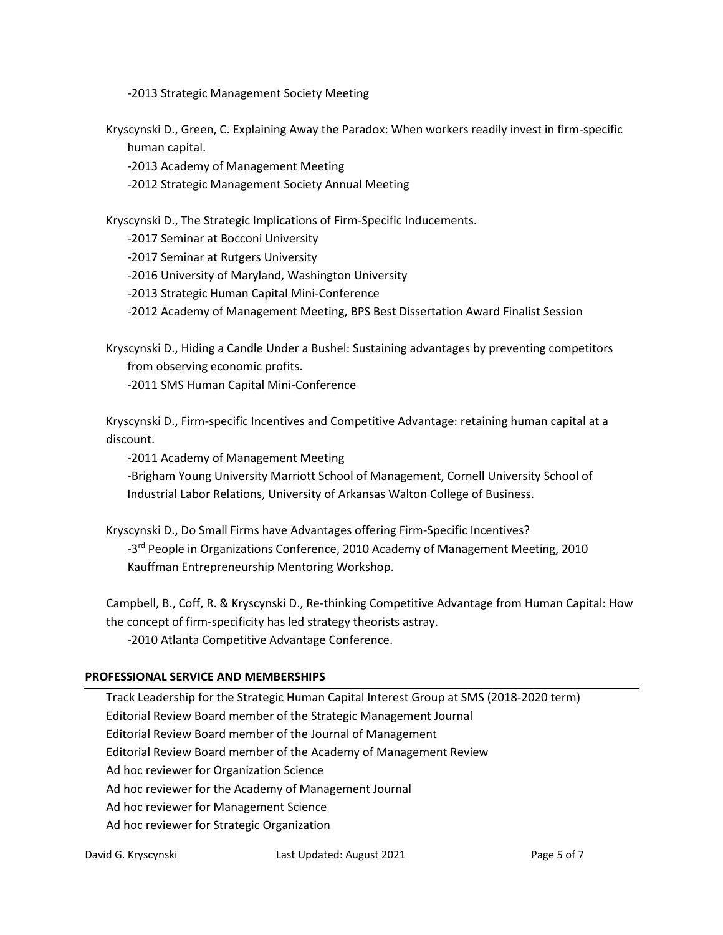-2013 Strategic Management Society Meeting

Kryscynski D., Green, C. Explaining Away the Paradox: When workers readily invest in firm-specific human capital.

-2013 Academy of Management Meeting

-2012 Strategic Management Society Annual Meeting

Kryscynski D., The Strategic Implications of Firm-Specific Inducements.

-2017 Seminar at Bocconi University

-2017 Seminar at Rutgers University

-2016 University of Maryland, Washington University

-2013 Strategic Human Capital Mini-Conference

-2012 Academy of Management Meeting, BPS Best Dissertation Award Finalist Session

Kryscynski D., Hiding a Candle Under a Bushel: Sustaining advantages by preventing competitors from observing economic profits.

-2011 SMS Human Capital Mini-Conference

Kryscynski D., Firm-specific Incentives and Competitive Advantage: retaining human capital at a discount.

-2011 Academy of Management Meeting

-Brigham Young University Marriott School of Management, Cornell University School of Industrial Labor Relations, University of Arkansas Walton College of Business.

Kryscynski D., Do Small Firms have Advantages offering Firm-Specific Incentives? -3<sup>rd</sup> People in Organizations Conference, 2010 Academy of Management Meeting, 2010 Kauffman Entrepreneurship Mentoring Workshop.

Campbell, B., Coff, R. & Kryscynski D., Re-thinking Competitive Advantage from Human Capital: How the concept of firm-specificity has led strategy theorists astray.

-2010 Atlanta Competitive Advantage Conference.

#### **PROFESSIONAL SERVICE AND MEMBERSHIPS**

Track Leadership for the Strategic Human Capital Interest Group at SMS (2018-2020 term) Editorial Review Board member of the Strategic Management Journal Editorial Review Board member of the Journal of Management Editorial Review Board member of the Academy of Management Review Ad hoc reviewer for Organization Science Ad hoc reviewer for the Academy of Management Journal Ad hoc reviewer for Management Science Ad hoc reviewer for Strategic Organization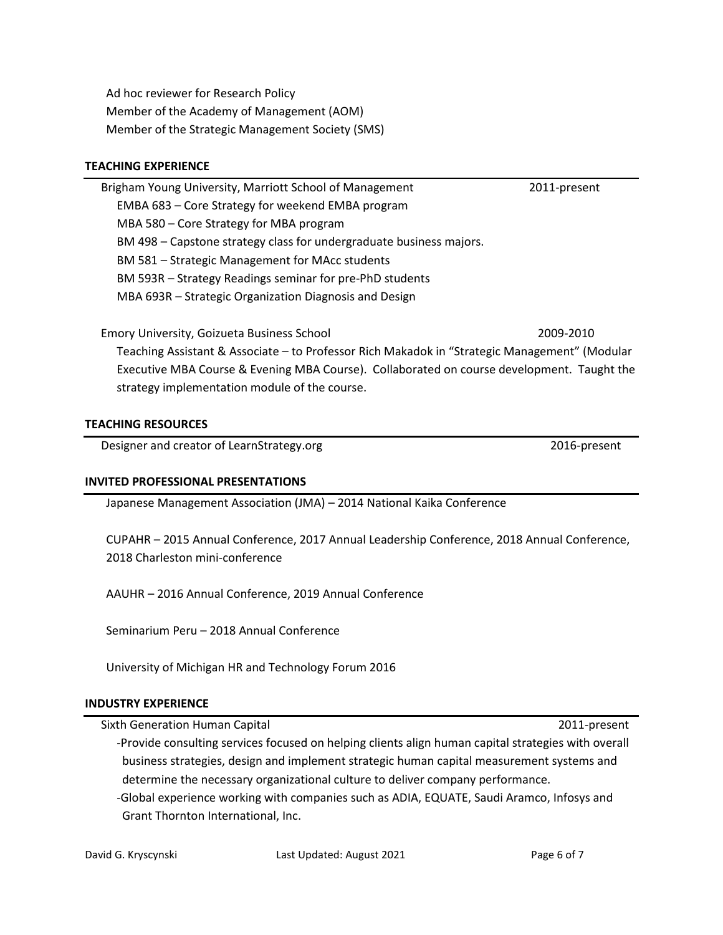Ad hoc reviewer for Research Policy Member of the Academy of Management (AOM) Member of the Strategic Management Society (SMS)

#### **TEACHING EXPERIENCE**

Brigham Young University, Marriott School of Management 2011-present EMBA 683 – Core Strategy for weekend EMBA program MBA 580 – Core Strategy for MBA program BM 498 – Capstone strategy class for undergraduate business majors. BM 581 – Strategic Management for MAcc students BM 593R – Strategy Readings seminar for pre-PhD students MBA 693R – Strategic Organization Diagnosis and Design

Emory University, Goizueta Business School 2009-2010 Teaching Assistant & Associate – to Professor Rich Makadok in "Strategic Management" (Modular Executive MBA Course & Evening MBA Course). Collaborated on course development. Taught the strategy implementation module of the course.

#### **TEACHING RESOURCES**

Designer and creator of LearnStrategy.org 2016-present

#### **INVITED PROFESSIONAL PRESENTATIONS**

Japanese Management Association (JMA) – 2014 National Kaika Conference

CUPAHR – 2015 Annual Conference, 2017 Annual Leadership Conference, 2018 Annual Conference, 2018 Charleston mini-conference

AAUHR – 2016 Annual Conference, 2019 Annual Conference

Seminarium Peru – 2018 Annual Conference

University of Michigan HR and Technology Forum 2016

#### **INDUSTRY EXPERIENCE**

Sixth Generation Human Capital 2011-present

- -Provide consulting services focused on helping clients align human capital strategies with overall business strategies, design and implement strategic human capital measurement systems and determine the necessary organizational culture to deliver company performance.
- -Global experience working with companies such as ADIA, EQUATE, Saudi Aramco, Infosys and Grant Thornton International, Inc.